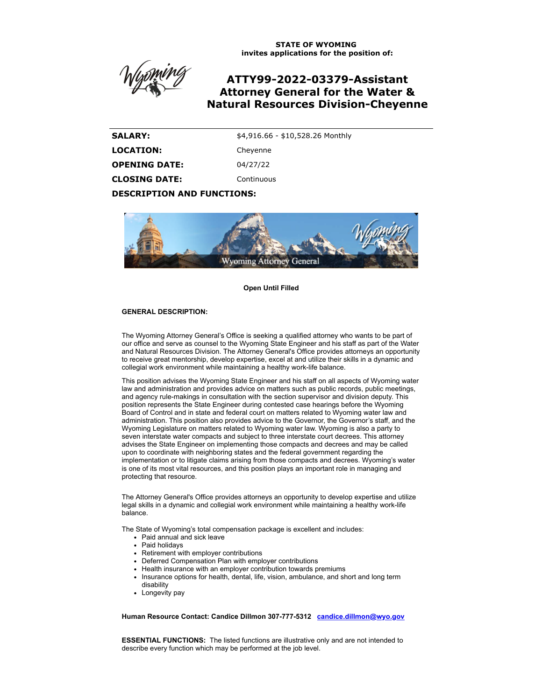**STATE OF WYOMING invites applications for the position of:**

# **ATTY99-2022-03379-Assistant Attorney General for the Water & Natural Resources Division-Cheyenne**

| <b>SALARY:</b>       | \$4,916.66 - \$10,528.26 Monthly |
|----------------------|----------------------------------|
| <b>LOCATION:</b>     | Cheyenne                         |
| <b>OPENING DATE:</b> | 04/27/22                         |
| <b>CLOSING DATE:</b> | Continuous                       |
|                      |                                  |

**DESCRIPTION AND FUNCTIONS:**



**Open Until Filled**

#### **GENERAL DESCRIPTION:**

The Wyoming Attorney General's Office is seeking a qualified attorney who wants to be part of our office and serve as counsel to the Wyoming State Engineer and his staff as part of the Water and Natural Resources Division. The Attorney General's Office provides attorneys an opportunity to receive great mentorship, develop expertise, excel at and utilize their skills in a dynamic and collegial work environment while maintaining a healthy work-life balance.

This position advises the Wyoming State Engineer and his staff on all aspects of Wyoming water law and administration and provides advice on matters such as public records, public meetings, and agency rule-makings in consultation with the section supervisor and division deputy. This position represents the State Engineer during contested case hearings before the Wyoming Board of Control and in state and federal court on matters related to Wyoming water law and administration. This position also provides advice to the Governor, the Governor's staff, and the Wyoming Legislature on matters related to Wyoming water law. Wyoming is also a party to seven interstate water compacts and subject to three interstate court decrees. This attorney advises the State Engineer on implementing those compacts and decrees and may be called upon to coordinate with neighboring states and the federal government regarding the implementation or to litigate claims arising from those compacts and decrees. Wyoming's water is one of its most vital resources, and this position plays an important role in managing and protecting that resource.

The Attorney General's Office provides attorneys an opportunity to develop expertise and utilize legal skills in a dynamic and collegial work environment while maintaining a healthy work-life balance.

The State of Wyoming's total compensation package is excellent and includes:

- Paid annual and sick leave
- Paid holidavs
- Retirement with employer contributions
- Deferred Compensation Plan with employer contributions  $\bullet$
- Health insurance with an employer contribution towards premiums
- Insurance options for health, dental, life, vision, ambulance, and short and long term disability
- Longevity pay

**Human Resource Contact: Candice Dillmon 307-777-5312 [candice.dillmon@wyo.gov](mailto:candice.dillmon@wyo.gov)**

**ESSENTIAL FUNCTIONS:** The listed functions are illustrative only and are not intended to describe every function which may be performed at the job level.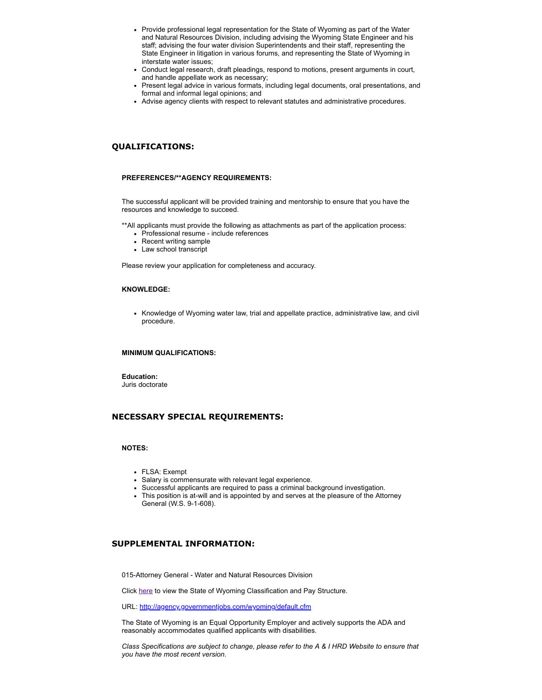- Provide professional legal representation for the State of Wyoming as part of the Water and Natural Resources Division, including advising the Wyoming State Engineer and his staff; advising the four water division Superintendents and their staff, representing the State Engineer in litigation in various forums, and representing the State of Wyoming in interstate water issues;
- Conduct legal research, draft pleadings, respond to motions, present arguments in court, and handle appellate work as necessary;
- Present legal advice in various formats, including legal documents, oral presentations, and formal and informal legal opinions; and
- Advise agency clients with respect to relevant statutes and administrative procedures.

# **QUALIFICATIONS:**

#### **PREFERENCES/\*\*AGENCY REQUIREMENTS:**

The successful applicant will be provided training and mentorship to ensure that you have the resources and knowledge to succeed.

\*\*All applicants must provide the following as attachments as part of the application process:

- Professional resume include references
- Recent writing sample
- Law school transcript

Please review your application for completeness and accuracy.

#### **KNOWLEDGE:**

• Knowledge of Wyoming water law, trial and appellate practice, administrative law, and civil procedure.

### **MINIMUM QUALIFICATIONS:**

**Education:**

Juris doctorate

## **NECESSARY SPECIAL REQUIREMENTS:**

## **NOTES:**

- FLSA: Exempt
- Salary is commensurate with relevant legal experience.
- Successful applicants are required to pass a criminal background investigation.
- This position is at-will and is appointed by and serves at the pleasure of the Attorney General (W.S. 9-1-608).

# **SUPPLEMENTAL INFORMATION:**

015-Attorney General - Water and Natural Resources Division

Click [here](https://ai.wyo.gov/divisions/human-resources/consultative-services/compensation/pay-tables-salary-averages) to view the State of Wyoming Classification and Pay Structure.

URL: <http://agency.governmentjobs.com/wyoming/default.cfm>

The State of Wyoming is an Equal Opportunity Employer and actively supports the ADA and reasonably accommodates qualified applicants with disabilities.

*Class Specifications are subject to change, please refer to the A & I HRD Website to ensure that you have the most recent version.*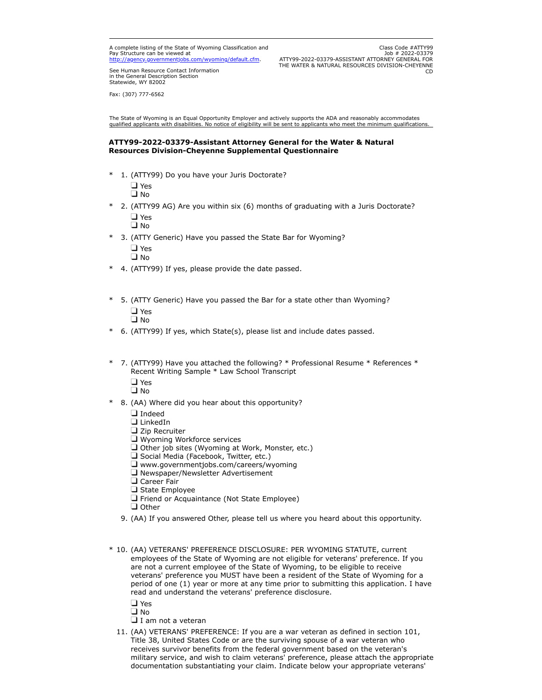A complete listing of the State of Wyoming Classification and Pay Structure can be viewed at wyoming/default.cfm.

Class Code #ATTY99 Job # 2022-03379 ATTY99-2022-03379-ASSISTANT ATTORNEY GENERAL FOR THE WATER & NATURAL RESOURCES DIVISION-CHEYENNE CD

See Human Resource Contact Information in the General Description Section Statewide, WY 82002

Fax: (307) 777-6562

The State of Wyoming is an Equal Opportunity Employer and actively supports the ADA and reasonably accommodates<br>qualified applicants with disabilities. No notice of eligibility will be sent to applicants who meet the minim

# **ATTY99-2022-03379-Assistant Attorney General for the Water & Natural Resources Division-Cheyenne Supplemental Questionnaire**

\* 1. (ATTY99) Do you have your Juris Doctorate?  $\Box$  Yes

 $\square$  No

\* 2. (ATTY99 AG) Are you within six (6) months of graduating with a Juris Doctorate? Yes

∩ I ⊔

\* 3. (ATTY Generic) Have you passed the State Bar for Wyoming? □ Yes

No

- \* 4. (ATTY99) If yes, please provide the date passed.
- \* 5. (ATTY Generic) Have you passed the Bar for a state other than Wyoming? Yes **□** No
- \* 6. (ATTY99) If yes, which State(s), please list and include dates passed.
- \* 7. (ATTY99) Have you attached the following? \* Professional Resume \* References \* Recent Writing Sample \* Law School Transcript
	- $\square$  Yes
	- $\square$  No
- \* 8. (AA) Where did you hear about this opportunity?
	- **I**ndeed
	- $\square$  LinkedIn
	- $\square$  Zip Recruiter
	- **U** Wyoming Workforce services
	- $\Box$  Other job sites (Wyoming at Work, Monster, etc.)
	- $\square$  Social Media (Facebook, Twitter, etc.)
	- $\Box$  www.governmentjobs.com/careers/wyoming
	- $\Box$  Newspaper/Newsletter Advertisement
	- **Q** Career Fair
	- $\Box$  State Employee
	- **T** Friend or Acquaintance (Not State Employee)
	- $\Box$  Other
	- 9. (AA) If you answered Other, please tell us where you heard about this opportunity.
- \* 10. (AA) VETERANS' PREFERENCE DISCLOSURE: PER WYOMING STATUTE, current employees of the State of Wyoming are not eligible for veterans' preference. If you are not a current employee of the State of Wyoming, to be eligible to receive veterans' preference you MUST have been a resident of the State of Wyoming for a period of one (1) year or more at any time prior to submitting this application. I have read and understand the veterans' preference disclosure.

Yes

an D

- $\square$  I am not a veteran
- 11. (AA) VETERANS' PREFERENCE: If you are a war veteran as defined in section 101, Title 38, United States Code or are the surviving spouse of a war veteran who receives survivor benefits from the federal government based on the veteran's military service, and wish to claim veterans' preference, please attach the appropriate documentation substantiating your claim. Indicate below your appropriate veterans'